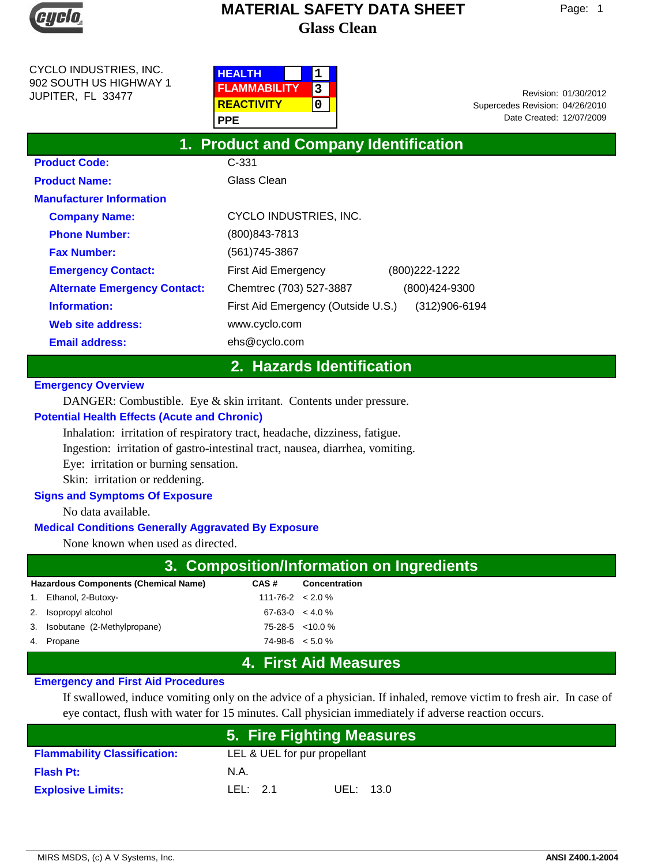

CYCLO INDUSTRIES, INC. 902 SOUTH US HIGHWAY 1 JUPITER, FL 33477

| <b>HEALTH</b>       |  |
|---------------------|--|
| <b>FLAMMABILITY</b> |  |
| <b>REACTIVITY</b>   |  |
| PPE                 |  |

Date Created: 12/07/2009 01/30/2012 Revision: Supercedes Revision: 04/26/2010

| 1. Product and Company Identification |                                    |                |  |  |  |
|---------------------------------------|------------------------------------|----------------|--|--|--|
| <b>Product Code:</b>                  | $C-331$                            |                |  |  |  |
| <b>Product Name:</b>                  | Glass Clean                        |                |  |  |  |
| <b>Manufacturer Information</b>       |                                    |                |  |  |  |
| <b>Company Name:</b>                  | CYCLO INDUSTRIES, INC.             |                |  |  |  |
| <b>Phone Number:</b>                  | $(800)843 - 7813$                  |                |  |  |  |
| <b>Fax Number:</b>                    | (561) 745-3867                     |                |  |  |  |
| <b>Emergency Contact:</b>             | First Aid Emergency                | (800) 222-1222 |  |  |  |
| <b>Alternate Emergency Contact:</b>   | Chemtrec (703) 527-3887            | (800)424-9300  |  |  |  |
| Information:                          | First Aid Emergency (Outside U.S.) | (312)906-6194  |  |  |  |
| Web site address:                     | www.cyclo.com                      |                |  |  |  |
| <b>Email address:</b>                 | ehs@cyclo.com                      |                |  |  |  |

## **2. Hazards Identification**

#### **Emergency Overview**

DANGER: Combustible. Eye & skin irritant. Contents under pressure.

#### **Potential Health Effects (Acute and Chronic)**

Inhalation: irritation of respiratory tract, headache, dizziness, fatigue.

Ingestion: irritation of gastro-intestinal tract, nausea, diarrhea, vomiting.

Eye: irritation or burning sensation.

Skin: irritation or reddening.

#### **Signs and Symptoms Of Exposure**

No data available.

#### **Medical Conditions Generally Aggravated By Exposure**

None known when used as directed.

| 3. Composition/Information on Ingredients                                    |                           |                                 |  |  |
|------------------------------------------------------------------------------|---------------------------|---------------------------------|--|--|
| <b>Hazardous Components (Chemical Name)</b><br>CAS #<br><b>Concentration</b> |                           |                                 |  |  |
| 1. Ethanol, 2-Butoxy-                                                        | $111 - 76 - 2 \le 2.0 \%$ |                                 |  |  |
| 2. Isopropyl alcohol                                                         | $67-63-0 \leq 4.0\%$      |                                 |  |  |
| 3. Isobutane (2-Methylpropane)                                               |                           | 75-28-5 < 10.0 %                |  |  |
| 4. Propane                                                                   | $74-98-6 < 5.0\%$         |                                 |  |  |
|                                                                              |                           | $\lambda$ . First Aid Masserias |  |  |

## **4. First Aid Measures**

#### **Emergency and First Aid Procedures**

If swallowed, induce vomiting only on the advice of a physician. If inhaled, remove victim to fresh air. In case of eye contact, flush with water for 15 minutes. Call physician immediately if adverse reaction occurs.

|                                     | <u> 5. Fire Fighting Measures </u> |           |
|-------------------------------------|------------------------------------|-----------|
| <b>Flammability Classification:</b> | LEL & UEL for pur propellant       |           |
| <b>Flash Pt:</b>                    | N.A.                               |           |
| <b>Explosive Limits:</b>            | LEL: $2.1$                         | UEL: 13.0 |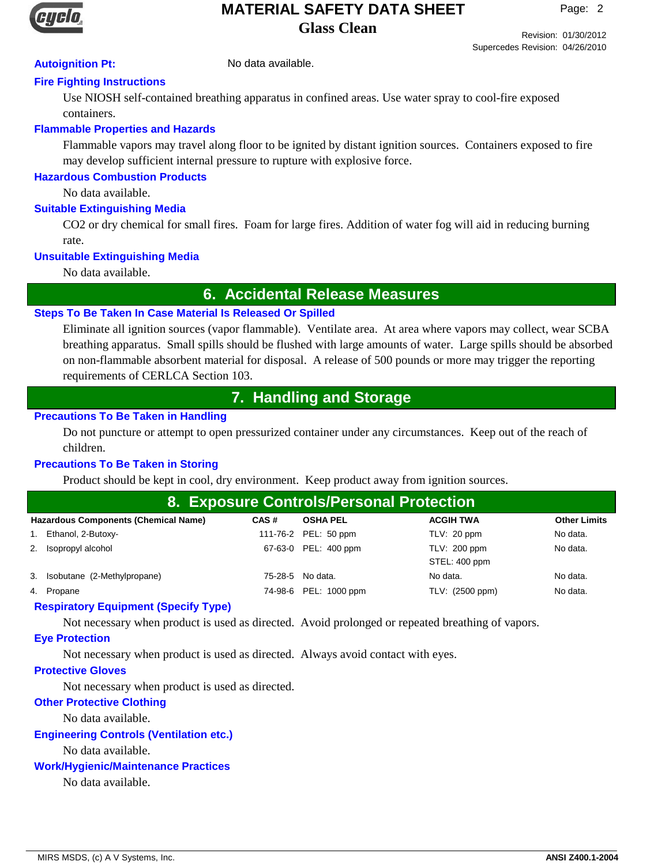

Revision: 01/30/2012 Supercedes Revision: 04/26/2010

## **Autoignition Pt:** No data available.

## **Fire Fighting Instructions**

Use NIOSH self-contained breathing apparatus in confined areas. Use water spray to cool-fire exposed containers.

## **Flammable Properties and Hazards**

Flammable vapors may travel along floor to be ignited by distant ignition sources. Containers exposed to fire may develop sufficient internal pressure to rupture with explosive force.

## **Hazardous Combustion Products**

No data available.

## **Suitable Extinguishing Media**

CO2 or dry chemical for small fires. Foam for large fires. Addition of water fog will aid in reducing burning rate.

## **Unsuitable Extinguishing Media**

No data available.

# **6. Accidental Release Measures**

## **Steps To Be Taken In Case Material Is Released Or Spilled**

Eliminate all ignition sources (vapor flammable). Ventilate area. At area where vapors may collect, wear SCBA breathing apparatus. Small spills should be flushed with large amounts of water. Large spills should be absorbed on non-flammable absorbent material for disposal. A release of 500 pounds or more may trigger the reporting requirements of CERLCA Section 103.

# **7. Handling and Storage**

## **Precautions To Be Taken in Handling**

Do not puncture or attempt to open pressurized container under any circumstances. Keep out of the reach of children.

## **Precautions To Be Taken in Storing**

Product should be kept in cool, dry environment. Keep product away from ignition sources.

| 8. Exposure Controls/Personal Protection                                                                          |  |                       |                               |          |  |
|-------------------------------------------------------------------------------------------------------------------|--|-----------------------|-------------------------------|----------|--|
| <b>Hazardous Components (Chemical Name)</b><br><b>Other Limits</b><br><b>ACGIH TWA</b><br>CAS#<br><b>OSHA PEL</b> |  |                       |                               |          |  |
| 1. Ethanol, 2-Butoxy-                                                                                             |  | 111-76-2 PEL: 50 ppm  | TLV: 20 ppm                   | No data. |  |
| 2. Isopropyl alcohol                                                                                              |  | 67-63-0 PEL: 400 ppm  | TLV: 200 ppm<br>STEL: 400 ppm | No data. |  |
| 3. Isobutane (2-Methylpropane)                                                                                    |  | 75-28-5 No data.      | No data.                      | No data. |  |
| 4. Propane                                                                                                        |  | 74-98-6 PEL: 1000 ppm | TLV: (2500 ppm)               | No data. |  |

## **Respiratory Equipment (Specify Type)**

Not necessary when product is used as directed. Avoid prolonged or repeated breathing of vapors.

## **Eye Protection**

Not necessary when product is used as directed. Always avoid contact with eyes.

## **Protective Gloves**

Not necessary when product is used as directed.

## **Other Protective Clothing**

No data available.

## **Engineering Controls (Ventilation etc.)**

No data available.

## **Work/Hygienic/Maintenance Practices**

No data available.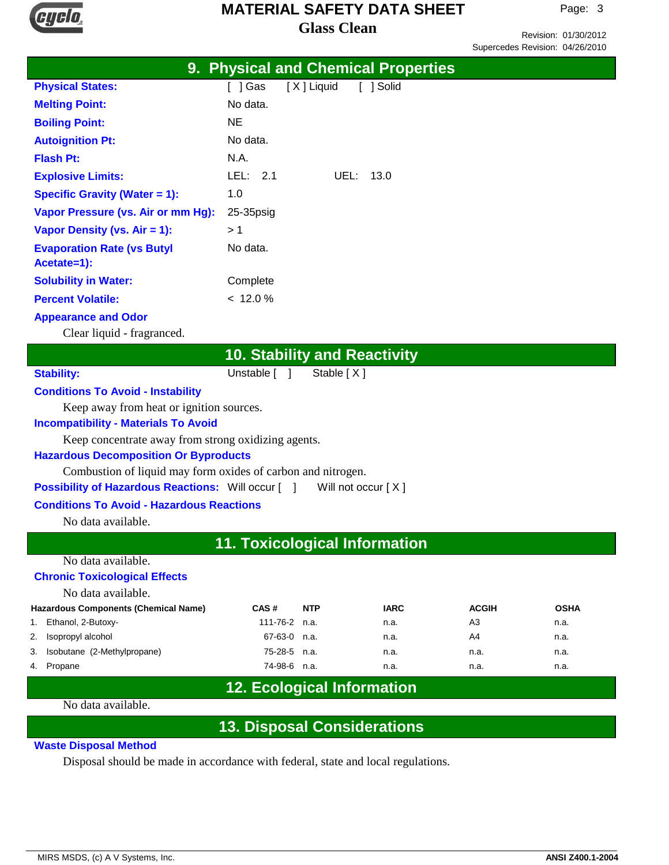

Revision: 01/30/2012 Supercedes Revision: 04/26/2010

|                                      | 9. Physical and Chemical Properties |
|--------------------------------------|-------------------------------------|
| <b>Physical States:</b>              | [ ] Gas<br>[X] Liquid<br>[ ] Solid  |
| <b>Melting Point:</b>                | No data.                            |
| <b>Boiling Point:</b>                | NE                                  |
| <b>Autoignition Pt:</b>              | No data.                            |
| <b>Flash Pt:</b>                     | N.A.                                |
| <b>Explosive Limits:</b>             | LEL: $2.1$<br>UEL: 13.0             |
| <b>Specific Gravity (Water = 1):</b> | 1.0                                 |
| Vapor Pressure (vs. Air or mm Hg):   | $25-35$ psig                        |
| Vapor Density (vs. $Air = 1$ ):      | > 1                                 |
| <b>Evaporation Rate (vs Butyl</b>    | No data.                            |
| Acetate=1):                          |                                     |
| <b>Solubility in Water:</b>          | Complete                            |
| <b>Percent Volatile:</b>             | < 12.0 %                            |
| <b>Appearance and Odor</b>           |                                     |
| Clear liquid - fragranced.           |                                     |
|                                      | <b>10. Stability and Reactivity</b> |

Stability: Unstable [ ] Stable [ X ]

#### **Conditions To Avoid - Instability**

Keep away from heat or ignition sources.

#### **Incompatibility - Materials To Avoid**

Keep concentrate away from strong oxidizing agents.

#### **Hazardous Decomposition Or Byproducts**

Combustion of liquid may form oxides of carbon and nitrogen.

**Possibility of Hazardous Reactions:** Will occur [ ] Will not occur [ X ]

#### **Conditions To Avoid - Hazardous Reactions**

No data available.

## **11. Toxicological Information**

#### No data available.

#### **Chronic Toxicological Effects**

No data available.

|    | <b>Hazardous Components (Chemical Name)</b> | CAS#          | <b>NTP</b> | <b>IARC</b> | <b>ACGIH</b> | <b>OSHA</b> |
|----|---------------------------------------------|---------------|------------|-------------|--------------|-------------|
| 1. | Ethanol, 2-Butoxy-                          | 111-76-2 n.a. |            | n.a.        | A3           | n.a.        |
|    | 2. Isopropyl alcohol                        | 67-63-0 n.a.  |            | n.a.        | A4           | n.a.        |
|    | 3. Isobutane (2-Methylpropane)              | 75-28-5 n.a.  |            | n.a.        | n.a.         | n.a.        |
|    | 4. Propane                                  | 74-98-6 n.a.  |            | n.a.        | n.a.         | n.a.        |

# **12. Ecological Information**

#### No data available.

## **13. Disposal Considerations**

#### **Waste Disposal Method**

Disposal should be made in accordance with federal, state and local regulations.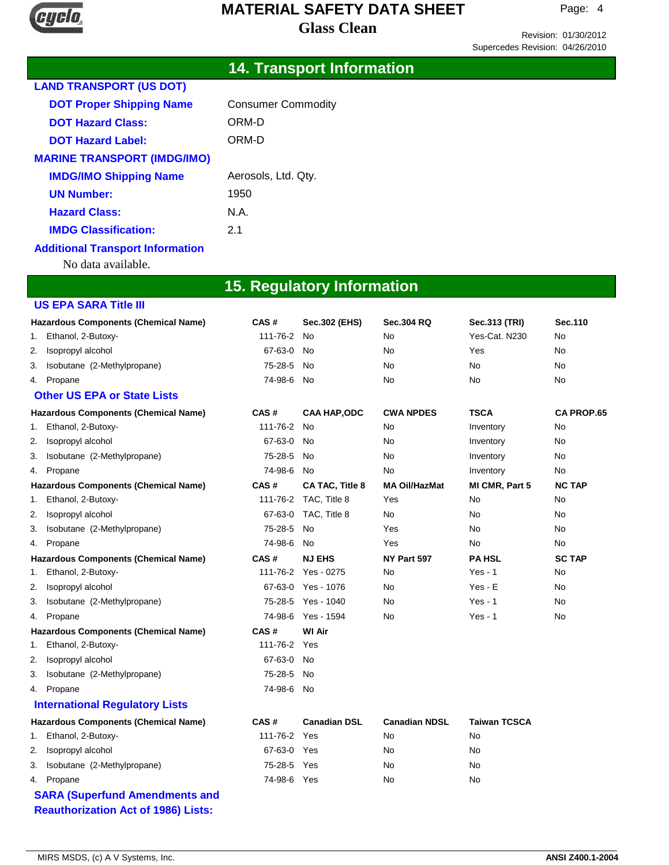

Revision: 01/30/2012 Supercedes Revision: 04/26/2010

# **14. Transport Information**

| <b>LAND TRANSPORT (US DOT)</b>     |                           |
|------------------------------------|---------------------------|
| <b>DOT Proper Shipping Name</b>    | <b>Consumer Commodity</b> |
| <b>DOT Hazard Class:</b>           | ORM-D                     |
| <b>DOT Hazard Label:</b>           | ORM-D                     |
| <b>MARINE TRANSPORT (IMDG/IMO)</b> |                           |
| <b>IMDG/IMO Shipping Name</b>      | Aerosols, Ltd. Qty.       |
| <b>UN Number:</b>                  | 1950                      |
| <b>Hazard Class:</b>               | N.A.                      |
| <b>IMDG Classification:</b>        | 21                        |
| Additional Teaman and Information  |                           |

#### **Additional Transport Information**

No data available.

# **15. Regulatory Information**

|    | <b>US EPA SARA Title III</b>                |             |                        |                      |                     |                   |
|----|---------------------------------------------|-------------|------------------------|----------------------|---------------------|-------------------|
|    | <b>Hazardous Components (Chemical Name)</b> | CAS#        | Sec.302 (EHS)          | <b>Sec.304 RQ</b>    | Sec.313 (TRI)       | Sec.110           |
| 1. | Ethanol, 2-Butoxy-                          | 111-76-2    | No                     | No                   | Yes-Cat. N230       | No                |
| 2. | Isopropyl alcohol                           | 67-63-0     | No                     | No                   | Yes                 | No                |
| З. | Isobutane (2-Methylpropane)                 | 75-28-5     | No                     | No                   | No                  | No                |
| 4. | Propane                                     | 74-98-6     | No                     | No                   | No                  | No                |
|    | <b>Other US EPA or State Lists</b>          |             |                        |                      |                     |                   |
|    | <b>Hazardous Components (Chemical Name)</b> | CAS#        | <b>CAA HAP,ODC</b>     | <b>CWA NPDES</b>     | <b>TSCA</b>         | <b>CA PROP.65</b> |
| 1. | Ethanol, 2-Butoxy-                          | 111-76-2    | <b>No</b>              | No                   | Inventory           | No                |
| 2. | Isopropyl alcohol                           | 67-63-0     | No                     | No                   | Inventory           | No                |
| З. | Isobutane (2-Methylpropane)                 | 75-28-5     | No                     | No                   | Inventory           | No                |
| 4. | Propane                                     | 74-98-6     | <b>No</b>              | No                   | Inventory           | No                |
|    | <b>Hazardous Components (Chemical Name)</b> | CAS#        | <b>CA TAC, Title 8</b> | <b>MA Oil/HazMat</b> | MI CMR, Part 5      | <b>NC TAP</b>     |
| 1. | Ethanol, 2-Butoxy-                          | 111-76-2    | TAC, Title 8           | Yes                  | No                  | No                |
| 2. | Isopropyl alcohol                           | 67-63-0     | TAC, Title 8           | No                   | No                  | No                |
| 3. | Isobutane (2-Methylpropane)                 | 75-28-5     | <b>No</b>              | Yes                  | No.                 | No                |
| 4. | Propane                                     | 74-98-6     | <b>No</b>              | Yes                  | No                  | No                |
|    | <b>Hazardous Components (Chemical Name)</b> | CAS#        | <b>NJ EHS</b>          | NY Part 597          | <b>PA HSL</b>       | <b>SC TAP</b>     |
| 1. | Ethanol, 2-Butoxy-                          | 111-76-2    | Yes - 0275             | No                   | $Yes - 1$           | No                |
| 2. | Isopropyl alcohol                           | 67-63-0     | Yes - 1076             | No                   | $Yes - E$           | No                |
| 3. | Isobutane (2-Methylpropane)                 | 75-28-5     | Yes - 1040             | No                   | $Yes - 1$           | No                |
| 4. | Propane                                     | 74-98-6     | Yes - 1594             | No                   | $Yes - 1$           | No                |
|    | <b>Hazardous Components (Chemical Name)</b> | CAS#        | <b>WI Air</b>          |                      |                     |                   |
| 1. | Ethanol, 2-Butoxy-                          | 111-76-2    | Yes                    |                      |                     |                   |
| 2. | Isopropyl alcohol                           | 67-63-0     | No                     |                      |                     |                   |
| 3. | Isobutane (2-Methylpropane)                 | 75-28-5     | No.                    |                      |                     |                   |
| 4. | Propane                                     | 74-98-6     | No                     |                      |                     |                   |
|    | <b>International Regulatory Lists</b>       |             |                        |                      |                     |                   |
|    | <b>Hazardous Components (Chemical Name)</b> | CAS#        | <b>Canadian DSL</b>    | <b>Canadian NDSL</b> | <b>Taiwan TCSCA</b> |                   |
| 1. | Ethanol, 2-Butoxy-                          | 111-76-2    | Yes                    | No                   | No                  |                   |
| 2. | Isopropyl alcohol                           | 67-63-0     | Yes                    | No                   | No                  |                   |
| 3. | Isobutane (2-Methylpropane)                 | 75-28-5     | Yes                    | No                   | No                  |                   |
|    | 4. Propane                                  | 74-98-6 Yes |                        | No                   | No                  |                   |
|    | <b>SARA (Superfund Amendments and</b>       |             |                        |                      |                     |                   |
|    | <b>Reauthorization Act of 1986) Lists:</b>  |             |                        |                      |                     |                   |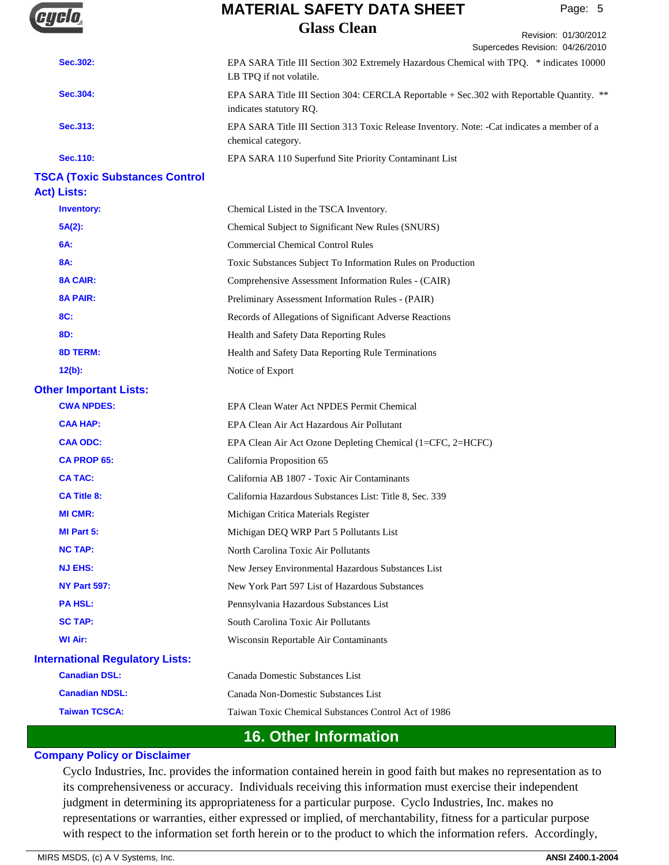

Revision: 01/30/2012

|                                        | Supercedes Revision: 04/26/2010                                                                                      |
|----------------------------------------|----------------------------------------------------------------------------------------------------------------------|
| Sec.302:                               | EPA SARA Title III Section 302 Extremely Hazardous Chemical with TPQ. * indicates 10000<br>LB TPQ if not volatile.   |
| Sec.304:                               | EPA SARA Title III Section 304: CERCLA Reportable + Sec. 302 with Reportable Quantity. **<br>indicates statutory RQ. |
| Sec.313:                               | EPA SARA Title III Section 313 Toxic Release Inventory. Note: -Cat indicates a member of a<br>chemical category.     |
| <b>Sec.110:</b>                        | EPA SARA 110 Superfund Site Priority Contaminant List                                                                |
| <b>TSCA (Toxic Substances Control</b>  |                                                                                                                      |
| <b>Act) Lists:</b>                     |                                                                                                                      |
| <b>Inventory:</b>                      | Chemical Listed in the TSCA Inventory.                                                                               |
| $5A(2)$ :                              | Chemical Subject to Significant New Rules (SNURS)                                                                    |
| 6A:                                    | <b>Commercial Chemical Control Rules</b>                                                                             |
| 8A:                                    | Toxic Substances Subject To Information Rules on Production                                                          |
| <b>8A CAIR:</b>                        | Comprehensive Assessment Information Rules - (CAIR)                                                                  |
| <b>8A PAIR:</b>                        | Preliminary Assessment Information Rules - (PAIR)                                                                    |
| 8C:                                    | Records of Allegations of Significant Adverse Reactions                                                              |
| 8D:                                    | Health and Safety Data Reporting Rules                                                                               |
| <b>8D TERM:</b>                        | Health and Safety Data Reporting Rule Terminations                                                                   |
| $12(b)$ :                              | Notice of Export                                                                                                     |
| <b>Other Important Lists:</b>          |                                                                                                                      |
| <b>CWA NPDES:</b>                      | EPA Clean Water Act NPDES Permit Chemical                                                                            |
| <b>CAA HAP:</b>                        | EPA Clean Air Act Hazardous Air Pollutant                                                                            |
| <b>CAA ODC:</b>                        | EPA Clean Air Act Ozone Depleting Chemical (1=CFC, 2=HCFC)                                                           |
| <b>CA PROP 65:</b>                     | California Proposition 65                                                                                            |
| <b>CA TAC:</b>                         | California AB 1807 - Toxic Air Contaminants                                                                          |
| <b>CA Title 8:</b>                     | California Hazardous Substances List: Title 8, Sec. 339                                                              |
| <b>MI CMR:</b>                         | Michigan Critica Materials Register                                                                                  |
| MI Part 5:                             | Michigan DEQ WRP Part 5 Pollutants List                                                                              |
| <b>NC TAP:</b>                         | North Carolina Toxic Air Pollutants                                                                                  |
| <b>NJ EHS:</b>                         | New Jersey Environmental Hazardous Substances List                                                                   |
| <b>NY Part 597:</b>                    | New York Part 597 List of Hazardous Substances                                                                       |
| <b>PAHSL:</b>                          | Pennsylvania Hazardous Substances List                                                                               |
| <b>SC TAP:</b>                         | South Carolina Toxic Air Pollutants                                                                                  |
| <b>WI Air:</b>                         | Wisconsin Reportable Air Contaminants                                                                                |
| <b>International Regulatory Lists:</b> |                                                                                                                      |
| <b>Canadian DSL:</b>                   | Canada Domestic Substances List                                                                                      |
| <b>Canadian NDSL:</b>                  | Canada Non-Domestic Substances List                                                                                  |
| <b>Taiwan TCSCA:</b>                   | Taiwan Toxic Chemical Substances Control Act of 1986                                                                 |
|                                        | <b>16. Other Information</b>                                                                                         |

#### **Company Policy or Disclaimer**

Cyclo Industries, Inc. provides the information contained herein in good faith but makes no representation as to its comprehensiveness or accuracy. Individuals receiving this information must exercise their independent judgment in determining its appropriateness for a particular purpose. Cyclo Industries, Inc. makes no representations or warranties, either expressed or implied, of merchantability, fitness for a particular purpose with respect to the information set forth herein or to the product to which the information refers. Accordingly,